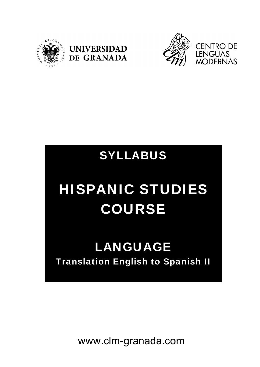





# SYLLABUS

# HISPANIC STUDIES COURSE

# LANGUAGE Translation English to Spanish II

www.clm-granada.com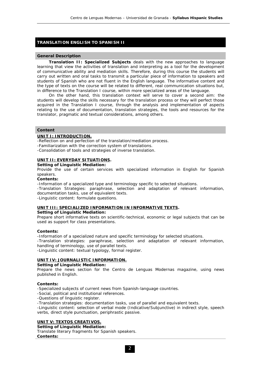### **TRANSLATION ENGLISH TO SPANISH II**

#### **General Description**

**Translation II: Specialized Subjects** deals with the new approaches to language learning that view the activities of translation and interpreting as a tool for the development of communicative ability and mediation skills. Therefore, during this course the students will carry out written and oral tasks to transmit a particular piece of information to speakers and students of Spanish who are not fluent in the English language. The informative content and the type of texts on the course will be related to different, real communication situations but, in difference to the Translation I course, within more specialized areas of the language.

On the other hand, this translation context will serve to cover a second aim: the students will develop the skills necessary for the translation process or they will perfect those acquired in the Translation I course, through the analysis and implementation of aspects relating to the use of documentation, translation strategies, the tools and resources for the translator, pragmatic and textual considerations, among others.

#### **Content**

#### **UNIT I: INTRODUCTION.**

-Reflection on and perfection of the translation/mediation process.

-Familiarization with the correction system of translations.

-Consolidation of tools and strategies of inverse translation.

#### **UNIT II: EVERYDAY SITUATIONS.**

**Setting of Linguistic Mediation:**

Provide the use of certain services with specialized information in English for Spanish speakers.

#### **Contents:**

-Information of a specialized type and terminology specific to selected situations.

-Translation Strategies: paraphrase, selection and adaptation of relevant information, documentation tasks, use of equivalent texts.

-Linguistic content: formulate questions.

#### **UNIT III: SPECIALIZED INFORMATION IN INFORMATIVE TEXTS.**

#### **Setting of Linguistic Mediation:**

Prepare short informative texts on scientific-technical, economic or legal subjects that can be used as support for class presentations.

#### **Contents:**

-Information of a specialized nature and specific terminology for selected situations. -Translation strategies: paraphrase, selection and adaptation of relevant information,

handling of terminology, use of parallel texts.

-Linguistic content: textual typology, formal register.

#### **UNIT IV: JOURNALISTIC INFORMATION.**

**Setting of Linguistic Mediation:**

Prepare the news section for the Centro de Lenguas Modernas magazine, using news published in English.

#### **Contents:**

-Specialized subjects of current news from Spanish-language countries.

-Social, political and institutional references.

-Questions of linguistic register.

-Translation strategies: documentation tasks, use of parallel and equivalent texts.

-Linguistic content: selection of verbal mode (Indicative/Subjunctive) in indirect style, speech verbs, direct style punctuation, periphrastic passive.

## **UNIT V: TEXTOS CREATIVOS.**

**Setting of Linguistic Mediation:**

Translate literary fragments for Spanish speakers. **Contents:**